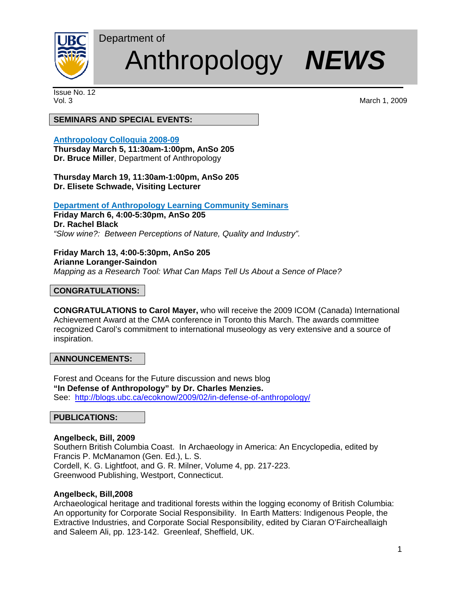

# Anthropology *NEWS*

Issue No. 12

Vol. 3 March 1, 2009

# **SEMINARS AND SPECIAL EVENTS:**

Department of

# **Anthropology Colloquia 2008-09**

**Thursday March 5, 11:30am-1:00pm, AnSo 205 Dr. Bruce Miller**, Department of Anthropology

**Thursday March 19, 11:30am-1:00pm, AnSo 205 Dr. Elisete Schwade, Visiting Lecturer** 

## **Department of Anthropology Learning Community Seminars**

**Friday March 6, 4:00-5:30pm, AnSo 205 Dr. Rachel Black**  *"Slow wine?: Between Perceptions of Nature, Quality and Industry".* 

**Friday March 13, 4:00-5:30pm, AnSo 205 Arianne Loranger-Saindon**  *Mapping as a Research Tool: What Can Maps Tell Us About a Sence of Place?*

## **CONGRATULATIONS:**

**CONGRATULATIONS to Carol Mayer,** who will receive the 2009 ICOM (Canada) International Achievement Award at the CMA conference in Toronto this March. The awards committee recognized Carol's commitment to international museology as very extensive and a source of inspiration.

# **ANNOUNCEMENTS:**

Forest and Oceans for the Future discussion and news blog **"In Defense of Anthropology" by Dr. Charles Menzies.**  See: http://blogs.ubc.ca/ecoknow/2009/02/in-defense-of-anthropology/

#### **PUBLICATIONS:**

# **Angelbeck, Bill, 2009**

Southern British Columbia Coast. In Archaeology in America: An Encyclopedia, edited by Francis P. McManamon (Gen. Ed.), L. S. Cordell, K. G. Lightfoot, and G. R. Milner, Volume 4, pp. 217-223. Greenwood Publishing, Westport, Connecticut.

#### **Angelbeck, Bill,2008**

Archaeological heritage and traditional forests within the logging economy of British Columbia: An opportunity for Corporate Social Responsibility. In Earth Matters: Indigenous People, the Extractive Industries, and Corporate Social Responsibility, edited by Ciaran O'Faircheallaigh and Saleem Ali, pp. 123-142. Greenleaf, Sheffield, UK.